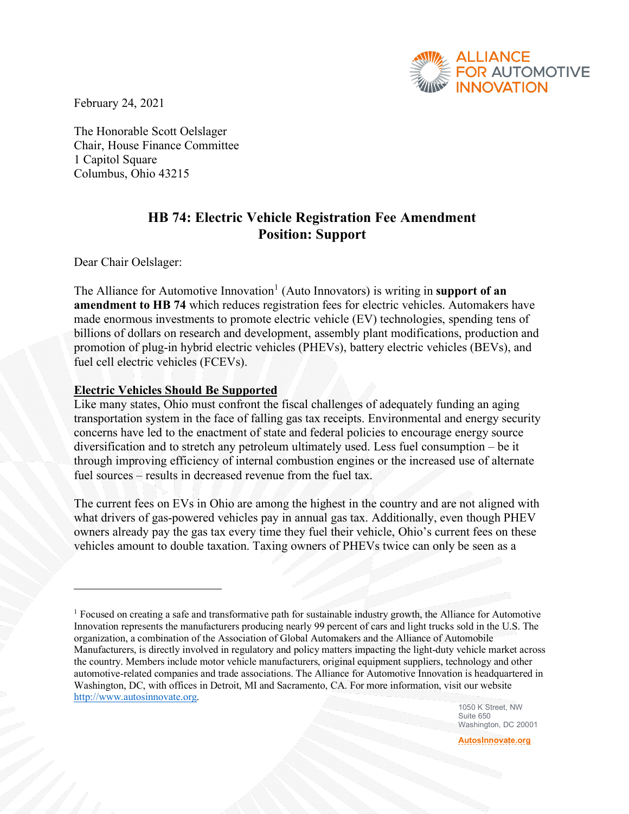

February 24, 2021

The Honorable Scott Oelslager Chair, House Finance Committee 1 Capitol Square Columbus, Ohio 43215

## **HB 74: Electric Vehicle Registration Fee Amendment Position: Support**

Dear Chair Oelslager:

The Alliance for Automotive Innovation<sup>[1](#page-0-0)</sup> (Auto Innovators) is writing in **support of an amendment to HB 74** which reduces registration fees for electric vehicles. Automakers have made enormous investments to promote electric vehicle (EV) technologies, spending tens of billions of dollars on research and development, assembly plant modifications, production and promotion of plug-in hybrid electric vehicles (PHEVs), battery electric vehicles (BEVs), and fuel cell electric vehicles (FCEVs).

## **Electric Vehicles Should Be Supported**

Like many states, Ohio must confront the fiscal challenges of adequately funding an aging transportation system in the face of falling gas tax receipts. Environmental and energy security concerns have led to the enactment of state and federal policies to encourage energy source diversification and to stretch any petroleum ultimately used. Less fuel consumption – be it through improving efficiency of internal combustion engines or the increased use of alternate fuel sources – results in decreased revenue from the fuel tax.

The current fees on EVs in Ohio are among the highest in the country and are not aligned with what drivers of gas-powered vehicles pay in annual gas tax. Additionally, even though PHEV owners already pay the gas tax every time they fuel their vehicle, Ohio's current fees on these vehicles amount to double taxation. Taxing owners of PHEVs twice can only be seen as a

1050 K Street, NW Suite 650 Washington, DC 20001

**[AutosInnovate.org](http://www.autosinnovate.org/)**

<span id="page-0-0"></span><sup>1</sup> Focused on creating a safe and transformative path for sustainable industry growth, the Alliance for Automotive Innovation represents the manufacturers producing nearly 99 percent of cars and light trucks sold in the U.S. The organization, a combination of the Association of Global Automakers and the Alliance of Automobile Manufacturers, is directly involved in regulatory and policy matters impacting the light-duty vehicle market across the country. Members include motor vehicle manufacturers, original equipment suppliers, technology and other automotive-related companies and trade associations. The Alliance for Automotive Innovation is headquartered in Washington, DC, with offices in Detroit, MI and Sacramento, CA. For more information, visit our website [http://www.autosinnovate.org.](http://www.autosinnovate.org/)